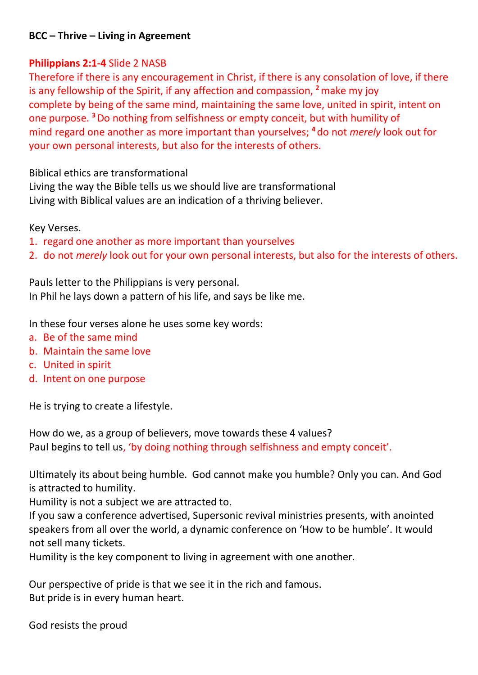## **BCC – Thrive – Living in Agreement**

## **Philippians 2:1-4** Slide 2 NASB

Therefore if there is any encouragement in Christ, if there is any consolation of love, if there is any fellowship of the Spirit, if any affection and compassion, **<sup>2</sup>**make my joy complete by being of the same mind, maintaining the same love, united in spirit, intent on one purpose. **<sup>3</sup>**Do nothing from selfishness or empty conceit, but with humility of mind regard one another as more important than yourselves; **<sup>4</sup>** do not *merely* look out for your own personal interests, but also for the interests of others.

Biblical ethics are transformational

Living the way the Bible tells us we should live are transformational Living with Biblical values are an indication of a thriving believer.

Key Verses.

- 1. regard one another as more important than yourselves
- 2. do not *merely* look out for your own personal interests, but also for the interests of others.

Pauls letter to the Philippians is very personal. In Phil he lays down a pattern of his life, and says be like me.

In these four verses alone he uses some key words:

- a. Be of the same mind
- b. Maintain the same love
- c. United in spirit
- d. Intent on one purpose

He is trying to create a lifestyle.

How do we, as a group of believers, move towards these 4 values? Paul begins to tell us, 'by doing nothing through selfishness and empty conceit'.

Ultimately its about being humble. God cannot make you humble? Only you can. And God is attracted to humility.

Humility is not a subject we are attracted to.

If you saw a conference advertised, Supersonic revival ministries presents, with anointed speakers from all over the world, a dynamic conference on 'How to be humble'. It would not sell many tickets.

Humility is the key component to living in agreement with one another.

Our perspective of pride is that we see it in the rich and famous. But pride is in every human heart.

God resists the proud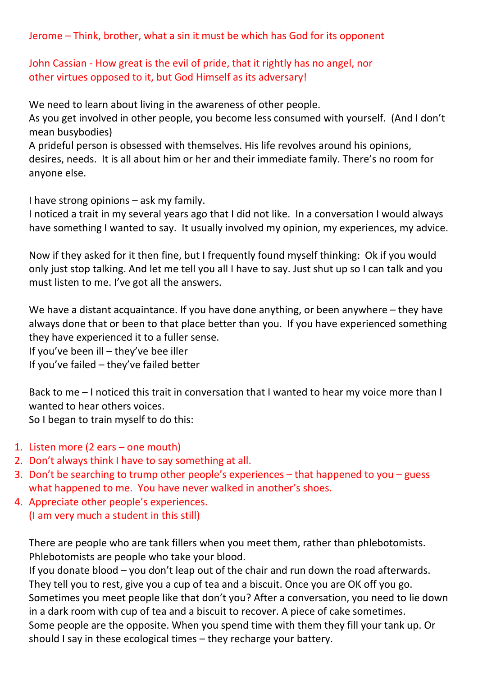Jerome – Think, brother, what a sin it must be which has God for its opponent

## John Cassian - How great is the [evil](https://www.newadvent.org/cathen/05649a.htm) of [pride,](https://www.newadvent.org/cathen/12405a.htm) that it rightly has no [angel,](https://www.newadvent.org/cathen/01476d.htm) nor other [virtues](https://www.newadvent.org/cathen/15472a.htm) opposed to it, but God Himself as its adversary!

We need to learn about living in the awareness of other people.

As you get involved in other people, you become less consumed with yourself. (And I don't mean busybodies)

A prideful person is obsessed with themselves. His life revolves around his opinions, desires, needs. It is all about him or her and their immediate family. There's no room for anyone else.

I have strong opinions – ask my family.

I noticed a trait in my several years ago that I did not like. In a conversation I would always have something I wanted to say. It usually involved my opinion, my experiences, my advice.

Now if they asked for it then fine, but I frequently found myself thinking: Ok if you would only just stop talking. And let me tell you all I have to say. Just shut up so I can talk and you must listen to me. I've got all the answers.

We have a distant acquaintance. If you have done anything, or been anywhere – they have always done that or been to that place better than you. If you have experienced something they have experienced it to a fuller sense.

If you've been ill – they've bee iller

If you've failed – they've failed better

Back to me – I noticed this trait in conversation that I wanted to hear my voice more than I wanted to hear others voices.

So I began to train myself to do this:

- 1. Listen more (2 ears one mouth)
- 2. Don't always think I have to say something at all.
- 3. Don't be searching to trump other people's experiences that happened to you guess what happened to me. You have never walked in another's shoes.
- 4. Appreciate other people's experiences. (I am very much a student in this still)

There are people who are tank fillers when you meet them, rather than phlebotomists. Phlebotomists are people who take your blood.

If you donate blood – you don't leap out of the chair and run down the road afterwards. They tell you to rest, give you a cup of tea and a biscuit. Once you are OK off you go. Sometimes you meet people like that don't you? After a conversation, you need to lie down in a dark room with cup of tea and a biscuit to recover. A piece of cake sometimes. Some people are the opposite. When you spend time with them they fill your tank up. Or should I say in these ecological times – they recharge your battery.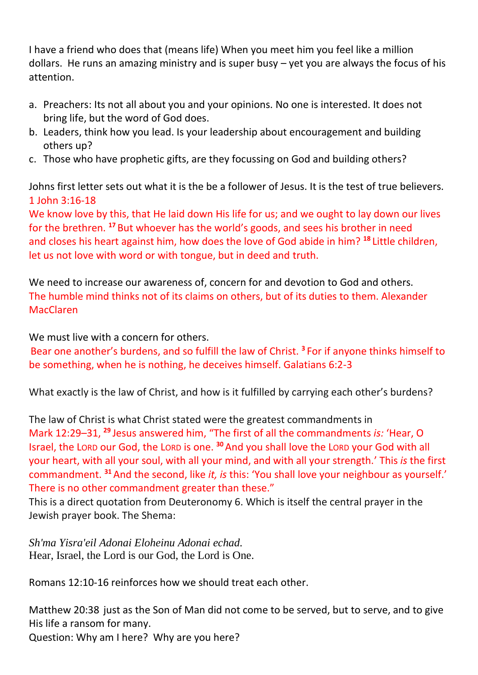I have a friend who does that (means life) When you meet him you feel like a million dollars. He runs an amazing ministry and is super busy – yet you are always the focus of his attention.

- a. Preachers: Its not all about you and your opinions. No one is interested. It does not bring life, but the word of God does.
- b. Leaders, think how you lead. Is your leadership about encouragement and building others up?
- c. Those who have prophetic gifts, are they focussing on God and building others?

Johns first letter sets out what it is the be a follower of Jesus. It is the test of true believers. 1 John 3:16-18

We know love by this, that He laid down His life for us; and we ought to lay down our lives for the brethren. **<sup>17</sup>** But whoever has the world's goods, and sees his brother in need and closes his heart against him, how does the love of God abide in him? **<sup>18</sup>** Little children, let us not love with word or with tongue, but in deed and truth.

We need to increase our awareness of, concern for and devotion to God and others. The humble mind thinks not of its claims on others, but of its duties to them. Alexander MacClaren

We must live with a concern for others.

Bear one another's burdens, and so fulfill the law of Christ. **<sup>3</sup>** For if anyone thinks himself to be something, when he is nothing, he deceives himself. Galatians 6:2-3

What exactly is the law of Christ, and how is it fulfilled by carrying each other's burdens?

The law of Christ is what Christ stated were the greatest commandments in Mark 12:29–31, **<sup>29</sup>** Jesus answered him, "The first of all the commandments *is:* 'Hear, O Israel, the LORD our God, the LORD is one. **<sup>30</sup>**And you shall love the LORD your God with all your heart, with all your soul, with all your mind, and with all your strength.' This *is* the first commandment. **<sup>31</sup>** And the second, like *it, is* this: 'You shall love your neighbour as yourself.' There is no other commandment greater than these."

This is a direct quotation from Deuteronomy 6. Which is itself the central prayer in the Jewish prayer book. The Shema:

*Sh'ma Yisra'eil Adonai Eloheinu Adonai echad.* Hear, Israel, the Lord is our God, the Lord is One.

Romans 12:10-16 reinforces how we should treat each other.

Matthew 20:38 just as the Son of Man did not come to be served, but to serve, and to give His life a ransom for many.

Question: Why am I here? Why are you here?